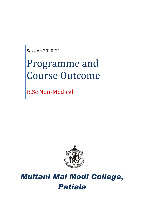Session 2020-21

# Programme and Course Outcome

B.Sc Non-Medical



## *Multani Mal Modi College, Patiala*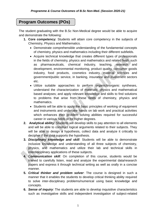### **Program Outcomes (POs)**

The student graduating with the B.Sc Non-Medical degree would be able to acquire and demonstrate the following:

- **1. Core competency:** Students will attain core competency in the subjects of Chemistry, Physics and Mathematics.
	- Demonstrate comprehensible understanding of the fundamental concepts of chemistry, physics and mathematics including their different subfields.
	- Acquire technical knowledge that creates different types of professionals in the fields of chemistry, physics and mathematics and related fields such as pharmaceuticals, chemical industry, teaching, research and development, environmental monitoring, product quality, consumer goods industry, food products, cosmetics industry, material sciences and government/public service, in banking, insurance and investment sectors etc.
	- Utilize suitable approaches to perform organic/inorganic syntheses, understand the characterization of materials; physics and mathematical based analyses; and apply relevant knowledge and skills to find solutions to problems that arise from these fields of chemistry, physics and mathematics.
	- Students will be able to apply the basic principles of working of equipment and instruments and undertake hands on lab work and practical activities which enhances their problem solving abilities required for successful career in various fields or for higher degrees.
- **2. Analytical ability:** Students will develop skills to pay attention to all elements and will be able to construct logical arguments related to their subjects. They will be able to design a hypothesis, collect data and analyze it critically to decipher if the data supports the hypothesis.
- **3.** *Disciplinary knowledge and skill*: Students will be able to demonstrate inclusive knowledge and understanding of all three subjects of chemistry, physics, and mathematics and utilize their lab and technical skills in interdisciplinary applications of these subjects.
- **4.** C*ommunication skill*: On completion of this course, students would be trained to carefully listen, read and analyze the experimental data/research papers and express it through technical writing as well as orally in a concise manner.
- **5.** *Critical thinker and problem solver*: The course is designed in such a manner that it enables the students to develop critical thinking ability required to solve inter-disciplinary problems/numerical using basic knowledge and concepts.
- **6.** *Sense of inquiry*: The students are able to develop inquisitive characteristics such as investigative skills and independent investigation of subject-related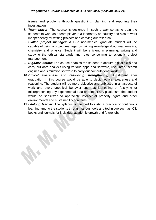issues and problems through questioning, planning and reporting their investigation.

- **7.** *Team player*: The course is designed in such a way so as to train the students to work as a team player in a laboratory or industry and also to work independently for writing projects and carrying out research.
- **8.** *Skilled project manager*: A BSc non-medical graduate student will be capable of being a project manager by gaining knowledge about mathematics, chemistry and physics. Student will be efficient in planning, writing and studying the ethical standards and rules concerning to scientific project management.
- **9.** *Digitally literate*: The course enables the student to acquire digital skills and carry out data analysis using various apps and software, use library search engines and simulation software to carry out computational work.
- **10.***Ethical awareness and reasoning strengthening*: A student after graduation in this course would be able to depict ethical awareness and reasoning. The student will be more objective and unbiased in all aspects of work and avoid unethical behavior such as fabricating or falsifying or misrepresenting any experimental data or commit any plagiarism; the student would be sensitized to appreciate intellectual property rights and other environmental and sustainability concerns.
- **11.***Lifelong learner*: The syllabus is planned to instill a practice of continuous learning among the students through various tools and technique such as ICT, books and journals for individual academic growth and future jobs.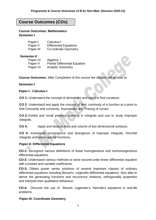#### **Course Outcomes (COs)**

**Course Outcomes: Mathematics Semester-I**

| Paper-I   | Calculus-I                    |
|-----------|-------------------------------|
| Paper-II  | <b>Differential Equations</b> |
| Paper-III | <b>Co-ordinate Geometry</b>   |

#### **Semester-II**

| Paper-IV | Algebra-I                            |
|----------|--------------------------------------|
| Paper-V  | <b>Partial Differential Equation</b> |
| Paper-VI | <b>Analytic Geometry</b>             |

**Course Outcomes**: After Completion of the course the student will be able to:

#### **Semester-I**

#### **Paper-I : Calculus-I**

**CO 1:** Understand the concept of derivatives and use it to find curvature.

**CO 2**: Understand and apply the concept of limit, continuity of a function at a point to find Concavity and convexity, Asymptotes and Tracing of curves.

**CO 3:** Exhibit and recall previous learning in integrals and use to study Improper integrals.

**CO 4:** Apply and deduce Area and volume of two dimensional surfaces.

**CO 5:** Investigate convergence and divergence of Improper integrals, Dirichlet integrals and some special functions.

#### **Paper-II: Differential Equations**

**CO-1:** Recognize various definitions of linear homogeneous and nonhomogeneous differential equations.

**CO-2:** Understand various methods to solve second order linear differential equation with constant and variable coefficients.

**CO-3:** Obtain power series solutions of several important classes of ordinary differential equations including Bessel's, Legendre differential equations. Also able to derive the generating functions and recurrence relations, orthogonality properties and interpret their qualitative behaviour.

**CO-4:** Discover the use of Bessel, Legendre's, Hermite's equations in real-life problems.

#### **Paper-III: Coordinate Geometry**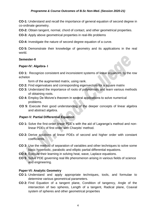**CO-1:** Understand and recall the importance of general equation of second degree in co-ordinate geometry.

**CO-2:** Obtain tangent, normal, chord of contact, and other geometrical properties.

**CO-3:** Apply above geometrical properties in real-life problems

**CO-4:** Investigate the nature of second degree equation of a curve.

**CO 5:** Demonstrate their knowledge of geometry and its applications in the real world.

#### **Semester-II**

#### **Paper-IV: Algebra- I**

**CO 1:** Recognize consistent and inconsistent systems of linear equations by the row echelon

form of the augmented matrix, using rank.

- **CO 2:** Find eigenvalues and corresponding eigenvectors for a square matrix
- **CO 3:** Understand the importance of roots of polynomials and learn various methods of obtaining roots.
- **CO 4:** Employ De Moivre's theorem in several applications to solve numerical problems.
- **CO 5**: Execute their good understanding of the deeper concepts of linear algebra and abstract algebra.

#### **Paper-V: Partial Differential Equation**

- **CO 1:** Solve the first-order linear PDE's with the aid of Lagrange's method and nonlinear PDEs of first order with Charpits' method.
- **CO 2:** Derive solutions of linear PDEs of second and higher order with constant coefficients.
- **CO 3:** Use the method of separation of variables and other techniques to solve some basic hyperbolic, parabolic and elliptic partial differential equations.
- **CO 4:** Execute their learning in solving heat, wave, Laplace equations.
- **CO 5**: Solve PDE governing real life phenomenon arising in various fields of science and engineering.

#### **Paper-VI: Analytic Geometry**

- **CO 1:** Understand and apply appropriate techniques, tools, and formulae to determine various geometrical parameters.
- **CO 2:** Find Equation of a tangent plane, Condition of tangency, Angle of the intersection of two spheres, Length of a tangent, Radical plane, Coaxial system of spheres and other geometrical properties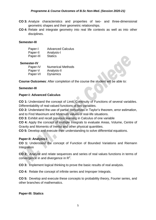- **CO 3:** Analyze characteristics and properties of two- and three-dimensional geometric shapes and their geometric relationships.
- **CO 4:** Relate and integrate geometry into real life contexts as well as into other disciplines.

#### **Semester-III**

| Paper-I   | <b>Advanced Calculus</b> |
|-----------|--------------------------|
| Paper-II  | Analysis-I               |
| Paper-III | <b>Statics</b>           |

#### **Semester-IV**

| Paper-IV | <b>Numerical Methods</b> |
|----------|--------------------------|
| Paper-V  | Analysis-II              |
| Paper-VI | <b>Dynamics</b>          |

**Course Outcomes**: After completion of the course the student will be able to:

#### **Semester-III**

#### **Paper-I: Advanced Calculus**

**CO 1:** Understand the concept of Limit, Continuity of Functions of several variables. Differentiability of real-valued functions of two variables.

**CO 2:** Understand the use of partial derivatives in Taylor's theorem, error estimation, and to Find Maximum and Minimum values of real-life situations.

**CO 3:** Exhibit and recall previous learning in Calculus of one variable

**CO 4:** Apply the concept of multiple Integrals to evaluate Areas, Volume, Centre of Gravity and Moments of Inertia and other physical quantities.

**CO 5:** Develop and execute their understanding to solve differential equations.

#### **Paper-II: Analysis-I**

**CO 1:** Understand the concept of Function of Bounded Variations and Riemann Integration

**CO 2:** Analyze and relate sequences and series of real values functions in terms of convergence in and divergence in  $R^2$ .

**CO 3:** Implement logical thinking to prove the basic results of real analysis.

**CO 4:** Relate the concept of infinite series and Improper Integrals.

**CO 5:** Develop and execute these concepts to probability theory, Fourier series, and other branches of mathematics.

#### **Paper-III: Statics**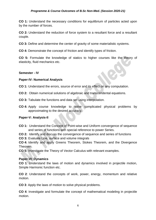#### *Programme & Course Outcomes of B.Sc Non-Med. (Session 2020-21)*

**CO 1:** Understand the necessary conditions for equilibrium of particles acted upon by the number of forces.

**CO 2:** Understand the reduction of force system to a resultant force and a resultant couple.

**CO 3:** Define and determine the center of gravity of some materialistic systems.

**CO 4:** Demonstrate the concept of friction and identify types of friction.

**CO 5:** Formulate the knowledge of statics to higher courses like the theory of elasticity, fluid mechanics etc.

#### **Semester - IV**

#### **Paper-IV: Numerical Analysis**

**CO 1:** Understand the errors, source of error and its effect on any computation.

- **CO 2:** Obtain numerical solutions of algebraic and transcendental equations.
- **CO 3:** Tabulate the functions and data set using interpolation.
- **CO 4:** Apply course knowledge to solve complicated physical problems by approximating to the desired accuracy.

#### **Paper-V: Analysis-II**

**CO 1:** Understand the Concept of Point-wise and Uniform convergence of sequence and series of functions with special reference to power Series.

**CO 2:** Identify and discuss the convergence of sequence and series of functions

**CO 3:** Evaluate Line, surface and volume integrals

**CO 4:** Identify and apply Greens Theorem, Stokes Theorem, and the Divergence Theorem.

**CO 5:** Investigate the Theory of Vector Calculus with relevant examples.

#### **Paper-VI: Dynamics**

**CO 1**: Understand the laws of motion and dynamics involved in projectile motion, Simple Harmonic function etc.

**CO 2**: Understand the concepts of work, power, energy, momentum and relative motion.

**CO 3**: Apply the laws of motion to solve physical problems.

**CO 4**: Investigate and formulate the concept of mathematical modeling in projectile motion.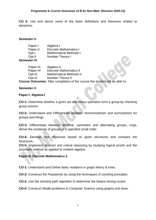**CO 5**: Use and derive some of the basic definitions and theorems related to dynamics.

#### **Semester-V**

| Paper-I            | Algebra-I                     |
|--------------------|-------------------------------|
| Paper-II           | <b>Discrete Mathematics-I</b> |
| Opt-I              | <b>Mathematical Methods-I</b> |
| Opt-II             | Number Theory-I               |
| <b>Semester-VI</b> |                               |

| Paper-III | Algebra-II                     |
|-----------|--------------------------------|
| Paper-IV  | <b>Discrete Mathematics-II</b> |
| Opt-III   | <b>Mathematical Methods-II</b> |
| Opt-IV    | Number Theory-II               |
|           |                                |

**Course Outcomes**: After completion of the course the student will be able to:

#### **Semester-V**

#### **Paper-I: Algebra-I**

**CO-1:** Determine whether a given set and binary operation form a group by checking group axioms

**CO-2:** Understand and Differentiate between homomorphism and isomorphism for groups and Rings.

**CO-3:** Differentiate between dihedral, symmetric and alternating groups, rings, derive the existence of groups of a specified small order

**CO-4:** Develop new structures based on given structures and compare the structures.

**CO-5:** Implement abstract and critical reasoning by studying logical proofs and the axiomatic method as applied to modern algebra.

#### **Paper-II: Discrete Mathematics-1**

**CO-1:** Understand and Define basic notations in graph theory & trees.

**CO-2:** Construct the Passwords by using the techniques of counting principles

**CO-3:** Use the shortest path algorithm to determine the fastest driving routes.

**CO-4:** Construct Model problems in Computer Science using graphs and trees.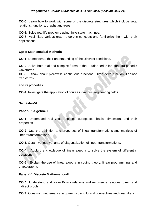**CO-5:** Learn how to work with some of the discrete structures which include sets, relations, functions, graphs and trees.

**CO 6:** Solve real-life problems using finite-state machines.

**CO-7:** Assimilate various graph theoretic concepts and familiarize them with their applications.

#### **Opt-I: Mathematical Methods I**

**CO-1:** Demonstrate their understanding of the Dirichlet conditions.

**CO-2:** Solve both real and complex forms of the Fourier series for standard periodic waveforms

**CO-3:** Know about piecewise continuous functions, Dirac delta function, Laplace transforms

and its properties

**CO 4:** Investigate the application of course in various engineering fields.

#### **Semester-VI**

#### **Paper-III: Algebra- II**

**CO-1:** Understand real vector spaces, subspaces, basis, dimension, and their properties

**CO-2:** Use the definition and properties of linear transformations and matrices of linear transformations.

**CO 3**: Obtain various variants of diagonalization of linear transformations.

**CO-4:** Apply the knowledge of linear algebra to solve the system of differential equations.

**CO-5:** Explain the use of linear algebra in coding theory, linear programming, and cryptography.

#### **Paper-IV: Discrete Mathematics-II**

**CO 1:** Understand and solve Binary relations and recurrence relations, direct and indirect proofs.

**CO 2:** Construct mathematical arguments using logical connectives and quantifiers.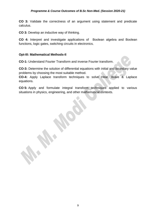**CO 3:** Validate the correctness of an argument using statement and predicate calculus.

**CO 3:** Develop an inductive way of thinking.

**CO 4:** Interpret and investigate applications of Boolean algebra and Boolean functions, logic gates, switching circuits in electronics.

#### **Opt-III: Mathematical Methods-II**

**CO-1:** Understand Fourier Transform and inverse Fourier transform.

**CO-3:** Determine the solution of differential equations with initial and boundary value problems by choosing the most suitable method.

**CO-4:** Apply Laplace transform techniques to solve Heat, Wave & Laplace equations.

**CO 5:** Apply and formulate integral transform techniques applied to various situations in physics, engineering, and other mathematical contexts.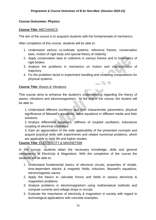#### **Course Outcomes: Physics**

#### **Course Title:** MECHANICS

The aim of the course is to acquaint students with the fundamentals of mechanics.

After completion of this course, students will be able to:

- 1. Understand various co-ordinate systems, reference frames, conservation laws, motion of rigid body and special theory of relativity.
- 2. Apply conservation laws to collisions in various frames and to kinematics of rigid bodies.
- 3. Analyze the problems in mechanics on motion and characteristics of trajectory.
- 4. Fix the problems faced in experiment handling and modeling computations for physical systems.

**STATISTICS** 

#### **Course Title:** Waves & Vibrations

This course aims to enhance the student's understanding regarding the theory of waves, vibrations and electromagnetism. At the end of the course, the student will be able to:

1. Understand different oscillators and their characteristic parameters, physical significance of Maxwell's equations, wave equations in different media and their solutions.

2. Analyze differential equations, stiffness of coupled oscillators, inductance coupling of electrical oscillators.

3. Gain an appreciation of the wide applicability of the presented concepts and acquire practical skills with experiments and related numerical problems, which are applicable to daily life and higher studies.

#### **Course Title:** ELECTRICITY & MAGNETISM

In this course, students attain the necessary knowledge, skills and general competency in Electricity & Magnetism. With the completion of the course the students will be able to:

- 1. Understand fundamental basics of electrical circuits, properties of simple, time-dependent electric & magnetic fields, induction, Maxwell's equations, electromagnetic waves.
- 2. Apply the basics to calculate forces and fields in various electricity & magnetism problems.
- 3. Analyze problems in electromagnetism using mathematical methods and compute currents and voltage drops in circuits.
- 4. Evaluate the importance of electricity & magnetism in society with regard to technological applications with concrete examples.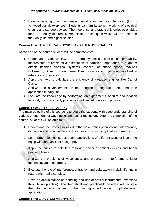5. Have a basic grip on how experimental equipment can be used (this is achieved via lab-exercises). Students can familiarize with working of electrical circuits and storage devices. The theoretical and practical knowledge enables them to identify different communication techniques which will be useful in their daily life and higher studies.

#### **Course Title**: STATISTICAL PHYSICS AND THERMODYNAMICS

At the end of the course student will be competent to:

- 1. Understand various laws of thermodynamics, basics of probability, macrostates, microstates & distribution of particles, importance of quantum effects besides classical systems, concept of phase space, Maxwell Boltzmann, Bose Einstein, Fermi Dirac statistics and particles involved in reference to their spin.
- 2. Apply the laws to calculate the efficiency of idealized engines like Carnot Cycle.
- 3. Analyze the advancements in heat engines, refrigeration etc. and their application in daily life.
- 4. Evaluate the knowledge by performing lab experiments. Acquire a foundation for analyzing many body problems in advanced courses in physics.

#### **Course Title:** OPTICS & LASERS

The main objective of this course is to equip the students with deep understanding of various phenomena of wave optics and Laser technology. After the completion of the course, students will be able to:

- 1. Understand the physics involved in the wave optics phenomena: Interference, diffraction and polarization and their role in working of optical instruments.
- 2. Learn properties, construction and applications of different types of lasers. To equip with the basics of holography.
- 3. Apply the basics to calculate resolving power of optical devices and beam profile in lasers.
- 4. Analyze the problems of wave optics and progress in interferometry, laser technology and holography.
- 5. Evaluate the role of interference, diffraction and polarization in daily life and in nature with real examples.
- 6. Have an acquaintance on handling and use of optical instruments (exercised through lab practice). The theoretical and practical knowledge will facilitate them to decide a course for them in higher education or optoelectronic applications.

#### **Course Title:** QUANTUM MECHANICS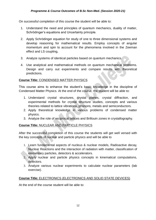On successful completion of this course the student will be able to:

- 1. Understand the need and principles of quantum mechanics, duality of matter, Schrödinger's equations and Uncertainty principle.
- 2. Apply Schrödinger equation for study of one to three dimensional systems and develop reasoning for mathematical results. Employ concepts of angular momentum and spin to account for the phenomena involved in the Zeeman effect and LS coupling,
- 3. Analyze systems of identical particles based on quantum mechanics.
- 4. Use analytical and mathematical methods on quantum mechanical problems. Design and carry out experiments and compare results with theoretical predictions.

#### **Course Title:** CONDENSED MATTER PHYSICS

This course aims to enhance the student's basic knowledge in the discipline of Condensed Matter Physics. At the end of the course, the student will be able to:

- 1. Understand crystal structures, crystal planes, crystal diffraction, and experimental methods for crystal structure studies, concepts and various theories related to lattice vibrations, phonons, metals and semiconductors.
- 2. Apply theoretical knowledge in various problems of condensed matter physics.
- 3. Analyze the role of reciprocal lattices and Brillouin zones in crystallography.

#### **Course Title:** NUCLEAR AND PARTICLE PHYSICS

After the successful completion of this course the students will get well versed with the key concepts of nuclear and particle physics and will be able to

- 1. Learn fundamental aspects of nucleus & nuclear models, Radioactive decay, Nuclear Reactions and the interaction of radiation with matter, classification of elementary particles, detectors & accelerators.
- 2. Apply nuclear and particle physics concepts in kinematical computations, detectors.
- 3. Analyze various nuclear experiments to calculate nuclear parameters (lab exercise).

#### **Course Title:** ELECTRONICS (ELECTRONICS AND SOLID STATE DEVICES)

At the end of the course student will be able to: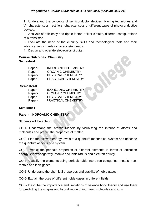1. Understand the concepts of semiconductor devices, biasing techniques and V-I characteristics, rectifiers, characteristics of different types of photoconductive devices.

2. Analysis of efficiency and ripple factor in filter circuits, different configurations of a transistor.

3. Evaluate the need of the circuitry, skills and technological tools and their advancements in relation to societal needs.

4. Design and operate electronics circuits.

#### **Course Outcomes: Chemistry**

#### **Semester-I**

| Paper-I   | <b>INORGANIC CHEMISTRY</b> |
|-----------|----------------------------|
| Paper-II  | <b>ORGANIC CHEMISTRY</b>   |
| Paper-III | <b>PHYSICAL CHEMISTRY</b>  |
| Paper-I   | PRACTICAL CHEMISTRY        |

#### **Semester-II**

| Paper-I   | <b>INORGANIC CHEMISTRY</b> |
|-----------|----------------------------|
| Paper-II  | <b>ORGANIC CHEMISTRY</b>   |
| Paper-III | PHYSICAL CHEMISTRY         |
| Paper-II  | <b>PRACTICAL CHEMISTRY</b> |

#### **Semester-I**

#### **Paper-I: INORGANIC CHEMISTRY**

Students will be able to:

CO.1- Understand the Atomic Models by visualizing the interior of atoms and molecules and predict the properties of matter.

CO.2- Find the allowed energy levels of a quantum mechanical system and describe the quantum aspects of a system.

CO.3- Predict the periodic properties of different elements in terms of ionization energy, electronegativity, atomic and ionic radius and electron affinity.

CO.4- Classify the elements using periodic table into three categories: metals, nonmetals and inert gases.

CO.5- Understand the chemical properties and stability of noble gases.

CO.6- Explain the uses of different noble gases in different fields.

CO.7- Describe the importance and limitations of valence bond theory and use them for predicting the shapes and hybridization of inorganic molecules and ions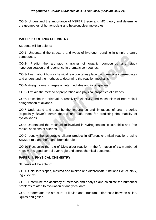CO.8- Understand the importance of VSPER theory and MO theory and determine the geometries of homonuclear and heteronuclear molecules.

#### **PAPER II: ORGANIC CHEMISTRY**

Students will be able to:

CO.1- Understand the structure and types of hydrogen bonding in simple organic compounds.

CO.2- Predict the aromatic character of organic compounds and study hyperconjugation and resonance in aromatic compounds.

CO.3- Learn about how a chemical reaction takes place using reactive intermediates and understand the methods to determine the reaction mechanism.

CO.4- Assign formal charges on intermediates and ionic species.

CO.5- Explain the method of preparation and physical properties of alkanes.

CO.6. Describe the orientation, reactivity, selectivity and mechanism of free radical halogenation of alkanes.

CO.7 Understand and describe the importance and limitations of strain theories (especially Bayer's strain theory) and use them for predicting the stability of cycloalkanes.

CO.8 Understand the mechanism involved in hydrogenation, electrophilic and free radical additions of alkenes.

CO.9 Identify the favourable alkene product in different chemical reactions using Saytzeff rule and hoffmann bromide rule.

CO.10 Recognize the role of Diels alder reaction in the formation of six membered rings with a good control over regio and stereochemical outcomes.

#### **PAPER III: PHYSICAL CHEMISTRY**

Students will be able to:

CO.1- Calculate slopes, maxima and minima and differentiate functions like kx, sin x, log x, ex, xn.

CO.2- Determine the accuracy of methods and analysis and calculate the numerical problems related to evaluation of analytical data.

CO.3- Understand the structure of liquids and structural differences between solids, liquids and gases.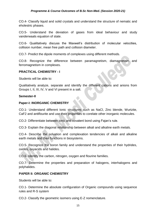CO.4- Classify liquid and solid crystals and understand the structure of nematic and eholestric phases.

CO.5- Understand the deviation of gases from ideal behaviour and study vanderwaals equation of state.

CO.6- Qualitatively discuss the Maxwell's distribution of molecular velocities, collision number, mean free path and collision diameter.

CO.7- Predict the dipole moments of complexes using different methods.

CO.8- Recognize the difference between paramagnetism, diamagnetism and ferromagnetism in complexes.

#### **PRACTICAL CHEMISTRY - I**

Students will be able to:

Qualitatively analyze, separate and identify the different cations and anions from Groups I, II, III, IV, V and VI present in a salt.

#### **Semester-II**

#### **Paper-I: INORGANIC CHEMISTRY**

CO.1- Understand different Ionic structures such as NaCl, Zinc blende, Wurtzite, CaF2 and antiflourite and use their properties to corelate other inorganic molecules.

CO.2- Differentiate between ionic and covalent bond using Fajan's rule.

CO.3- Explain the diagonal relationship between alkali and alkaline earth metals.

CO.4- Describe the solvation and complexation tendencies of alkali and alkaline earth metals and their functions in biosystems.

CO.5- Recognize the boron family and understand the properties of their hydrides, oxides, oxyacids and halides.

CO.6- Identify the carbon, nitrogen, oxygen and flourine families.

CO.7- Determine the properties and preparation of halogens, interhalogens and polyhalides.

#### **PAPER II: ORGANIC CHEMISTRY**

Students will be able to:

CO.1- Determine the absolute configuration of Organic compounds using sequence rules and R-S system

CO.2- Classify the geometric isomers using E-Z nomenclature.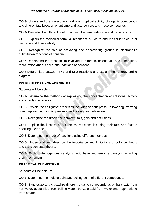#### *Programme & Course Outcomes of B.Sc Non-Med. (Session 2020-21)*

CO.3- Understand the molecular chirality and optical activity of organic compounds and differentiate between enantiomers, diastereomers and meso compounds.

CO.4- Describe the different conformations of ethane, n-butane and cyclohexane.

CO.5- Explain the molecular formula, resonance structure and molecular picture of benzene and their stability.

CO.6. Recognize the role of activating and deactivating groups in electrophilic substitution reactions of benzene.

CO.7 Understand the mechanism involved in nitartion, halogenation, sulphonation, mercuration and friedel crafts reactions of benzene.

CO.8 Differentiate between SN1 and SN2 reactions and explain their energy profile diagram.

#### **PAPER III: PHYSICAL CHEMISTRY**

Students will be able to:

CO.1- Determine the methods of expressing the concentration of solutions, activity and activity coefficients.

CO.2- Explain the colligative properties including vapour pressure lowering, freezing point depression, osmotic pressure and boiling point elevation.

CO.3- Recognize the difference between sols, gels and emulsions.

CO.4- Explain the kinetics of a chemical reactions including their rate and factors affecting their rate.

CO.5- Determine the order of reactions using different methods.

CO.6- Understand and describe the importance and limitations of collision theory and transition state theory.

CO.7- Explain Homogenous catalysis, acid base and enzyme catalysis including their mechanism.

#### **PRACTICAL CHEMISTRY II**

Students will be able to:

CO.1- Determine the melting point and boiling point of different compounds.

CO.2- Synthesize and crystallize different organic compounds as phthalic acid from hot water, acetanilide from boiling water, benzoic acid from water and naphthalene from ethanol.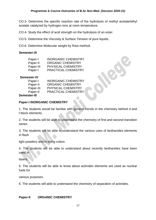CO.3- Determine the specific reaction rate of the hydrolysis of methyl acetate/ethyl acetate catalyzed by hydrogen ions at room temperature.

CO.4- Study the effect of acid strength on the hydrolysis of an ester.

CO.5- Determine the Viscosity & Surface Tension of pure liquids.

CO.6- Determine Molecular weight by Rast method.

#### **Semester-III**

| Paper-I   | <b>INORGANIC CHEMISTRY</b> |
|-----------|----------------------------|
| Paper-II  | <b>ORGANIC CHEMISTRY</b>   |
| Paper-III | <b>PHYSICAL CHEMISTRY</b>  |
| Paper-I   | <b>PRACTICAL CHEMISTRY</b> |

#### **Semester-IV**

| Paper-I   | <b>INORGANIC CHEMISTRY</b> |
|-----------|----------------------------|
| Paper-II  | <b>ORGANIC CHEMISTRY</b>   |
| Paper-III | <b>PHYSICAL CHEMISTRY</b>  |
| Paper-II  | <b>PRACTICAL CHEMISTRY</b> |
|           |                            |

#### **Semester-III**

#### **Paper-I INORGANIC CHEMISTRY**

1. The students would be familiar with general trends in the chemistry behind d and f-block elements.

2. The students will be able to understand the chemistry of first and second transition series.

3. The students will be able to understand the various uses of lanthanides elements in flash

light powders and in dying cotton.

4. The students will be able to understand about recently lanthanides have been used in

lasers.

5. The students will be able to know about actinides elements are used as nuclear fuels for

various purposes.

6. The students will able to understand the chemistry of separation of actinides.

#### **Paper-II ORGANIC CHEMISTRY**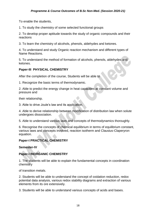To enable the students,

1. To study the chemistry of some selected functional groups

2. To develop proper aptitude towards the study of organic compounds and their reactions

3. To learn the chemistry of alcohols, phenols, aldehydes and ketones.

4. To understand and study Organic reaction mechanism and different types of Name Reactions.

5. To understand the method of formation of alcohols, phenols, aldehydes and ketones.

#### **Paper-III PHYSICAL CHEMISTRY**

After the completion of the course, Students will be able to

1. Recognize the basic terms of thermodynamic.

2. Able to predict the energy change in heat capacities at constant volume and pressure and

their relationship.

3. Able to drive Joule's law and its application.

4. Able to derive relationship between modification of distribution law when solute undergoes dissociation.

5. Able to understand various laws and concepts of thermodynamics thoroughly.

6. Recognise the concepts of chemical equilibrium in terms of equilibrium constant, various laws and concepts involved, reaction isotherm and Clausius-Claperyron equation.

#### **Paper-I PRACTICAL CHEMISTRY**

**Semester-IV**

#### **Paper-I INORGANIC CHEMISTRY**

1. The students will be able to explain the fundamental concepts in coordination chemistry

of transition metals.

2. Students will be able to understand the concept of oxidation reduction, redox potential data analysis, various redox stability diagrams and extraction of various elements from its ore extensively.

3. Students will be able to understand various concepts of acids and bases.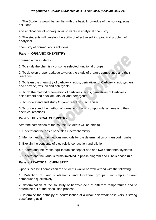4. The Students would be familiar with the basic knowledge of the non-aqueous solutions

and applications of non-aqueous solvents in analytical chemistry.

5. The students will develop the ability of effective solving practical problem of analytical

chemistry of non-aqueous solutions.

#### **Paper-II ORGANIC CHEMISTRY**

To enable the students

1. To study the chemistry of some selected functional groups

2. To develop proper aptitude towards the study of organic compounds and their reactions

3. To learn the chemistry of carboxylic acids, derivatives of Carboxylic acids,ethers and epoxide, fats, oil and detergents.

4. To do the method of formation of carboxylic acids, derivatives of Carboxylic acids,ethers and epoxide, fats, oil and detergents

5. To understand and study Organic reaction mechanism

6. To understand the method of formation of nitro compounds, amines and their chemical reactions.

#### **Paper-III PHYSICAL CHEMISTRY**

After the completion of the course, Students will be able to

1. Understand the basic principles electrochemistry.

2. Mention and explain various methods for the determination of transport number.

3. Explain the concepts of electrolytic conduction and dilution

4. Understand the Phase equilibrium concept of one and two component systems.

5. Understand the various terms involved in phase diagram and Gibb's phase rule.

#### **Paper-I PRACTICAL CHEMISTRY**

Upon successful completion the students would be well versed with the following:

1. Detection of various elements and functional groups in simple organic compounds qualitatively.

2. determination of the solubility of benzoic acid at different temperatures and to determine  $\Delta H$  of the dissolution process.

3.Determine the enthalpy of neutralisation of a weak acid/weak base versus strong base/strong acid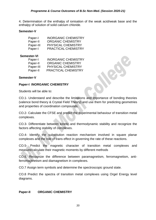4. Determination of the enthalpy of ionisation of the weak acid/weak base and the enthalpy of solution of solid calcium chloride.

#### **Semester-V**

| Paper-I   | <b>INORGANIC CHEMISTRY</b> |
|-----------|----------------------------|
| Paper-II  | <b>ORGANIC CHEMISTRY</b>   |
| Paper-III | <b>PHYSICAL CHEMISTRY</b>  |
| Paper-I   | <b>PRACTICAL CHEMISTRY</b> |

#### **Semester-VI**

| Paper-I   | <b>INORGANIC CHEMISTRY</b> |
|-----------|----------------------------|
| Paper-II  | <b>ORGANIC CHEMISTRY</b>   |
| Paper-III | <b>PHYSICAL CHEMISTRY</b>  |
| Paper-II  | <b>PRACTICAL CHEMISTRY</b> |

#### **Semester-V**

#### **Paper-I INORGANIC CHEMISTRY**

Students will be able to:

CO.1- Understand and describe the limitations and importance of bonding theories (valence bond theory & Crystal Field Theory) and use them for predicting geometries and properties of coordination compounds.

CO.2- Calculate the CFSE and predict the experimental behaviour of transition metal complexes.

CO.3- Differentiate between kinetic and thermodynamic stability and recognize the factors affecting stability of complexes.

CO.4- Identify the substitution reaction mechanism involved in square planar complexes and the role of trans effect in governing the rate of these reactions.

CO.5- Predict the magnetic character of transition metal complexes and measure/calculate their magnetic moments by different methods

CO.6. Recognize the difference between paramagnetism, ferromagnetism, antiferromagtnetism and diamagnetism in complexes.

CO.7 Assign term symbols and determine the spectroscopic ground state.

CO.8 Predict the spectra of transition metal complexes using Orgel Energy level diagrams.

#### **Paper-II ORGANIC CHEMISTRY**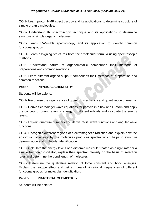CO.1- Learn proton NMR spectroscopy and its applications to determine structure of simple organic molecules.

CO.2- Understand IR spectroscopy technique and its applications to determine structure of simple organic molecules.

CO.3- Learn UV-Visible spectroscopy and its application to identify common functional groups.

CO. 4- Learn assigning structures from their molecular formula using spectroscopic methods.

CO.5- Understand nature of organometallic compounds their methods of preparations and common reactions.

CO.6. Learn different organo-sulphur compounds their methods of preparation and common reactions.

#### **Paper-III PHYSICAL CHEMISTRY**

Students will be able to:

CO.1- Recognise the significance of quantum mechanics and quantization of energy.

CO.2- Derive Schrodinger wave equations for particle in a box and H-atom and apply the concept of quantization of energy to different orbitals and calculate the energy levels.

CO.3- Explain quantum numbers and derive radial wave functions and angular wave functions.

CO.4- Recognize different regions of electromagnetic radiation and explain how the absorption of energy by the molecules produces spectra which helps in structure determination and molecular identification.

CO.5- Calculate the energy levels of a diatomic molecule treated as a rigid rotor or a simple harmonic oscillator, explain their spectral intensity on the basis of selection rules and determine the bond length of molecules.

CO.6- Determine the qualitative relation of force constant and bond energies. Explain the isotope effect and get an idea of vibrational frequencies of different functional groups for molecular identification.

#### **Paper-I PRACTICAL CHEMISTR Y**

Students will be able to: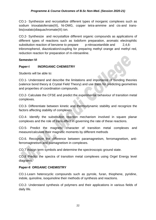CO.1- Synthesize and recrystallize different types of inorganic complexes such as sodium trioxalatoferrate(III), Ni-DMG, copper tetra-ammine and cis-and transbis(oxalato)diaquachromate(III) ion.

CO.2- Synthesize and recrystallize different organic compounds as applications of different types of reactions such as Iodoform preparation, aromatic electrophilic substitution reaction of benzene to prepare p-nitroacetanilide and 2,4,6tribromophenol, diazotization/coupling for preparing methyl orange and methyl red, reduction reaction for preparation of m-nitroaniline.

#### **Semester-VI**

#### **Paper-I INORGANIC CHEMISTRY**

Students will be able to:

CO.1- Understand and describe the limitations and importance of bonding theories (valence bond theory & Crystal Field Theory) and use them for predicting geometries and properties of coordination compounds.

CO.2- Calculate the CFSE and predict the experimental behaviour of transition metal complexes.

CO.3- Differentiate between kinetic and thermodynamic stability and recognize the factors affecting stability of complexes.

CO.4- Identify the substitution reaction mechanism involved in square planar complexes and the role of trans effect in governing the rate of these reactions.

CO.5- Predict the magnetic character of transition metal complexes and measure/calculate their magnetic moments by different methods

CO.6. Recognize the difference between paramagnetism, ferromagnetism, antiferromagtnetism and diamagnetism in complexes.

CO.7 Assign term symbols and determine the spectroscopic ground state.

CO.8 Predict the spectra of transition metal complexes using Orgel Energy level diagrams.

#### **Paper-II ORGANIC CHEMISTRY**

CO.1-Learn heterocyclic compounds such as pyrrole, furan, thiophene, pyridine, indole, quinoline, isoquinoline their methods of synthesis and reactions.

CO.2- Understand synthesis of polymers and their applications in various fields of daily life.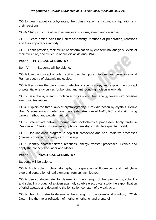CO.3.- Learn about carbohydrates, their classification, structure, configuration and their reactions.

CO.4- Study structure of lactose, maltose, sucrose, starch and cellulose.

CO.5.- Learn amino acids their stereochemistry, methods of preparation, reactions and their importance in body.

CO.6. Learn proteins, their structure determination by end terminal analysis, levels of their structure, and structure of nucleic acids and DNA.

#### **Paper-III PHYSICAL CHEMISTRY**

Sem-VI Students will be able to:

CO.1- Use the concept of polarizability to explain pure rotational and pure vibrational Raman spectra of diatomic molecules.

CO.2- Recognize the basic rules of electronic spectroscopy and explain the concept of potential energy curves for bonding and anti-bonding molecular orbitals.

CO.3- Describe σ, π and n molecular orbitals and their energy levels with possible electronic transitions.

CO.4- Explain the three laws of crystallography, X-ray diffraction by crystals. Derive Bragg's equation and determine the crystal structure of NaCI, KCI and CsCI using Laue's method and powder method.

CO.5- Differentiate between thermal and photochemical processes. Apply Grothus-Drapper and Stark-Einstein laws of photochemistry to calculate quantum yield,

CO.6- Use Jablonski diagram to depict fluorescence and non- radiative processes (internal conversion, intersystem crossing).

CO.7- Identify photosensitized reactions- energy transfer processes. Explain and apply the concepts of Laser and Maser.

#### **Paper-II PRACTICAL CHEMISTRY**

Students will be able to:

CO.1- Apply column chromatography for separation of fluorescein and methylene blue and separation of leaf pigments from spinach leaves.

CO.2- Use conductometer for determining the strength of the given acids, solubility and solubility product of a given sparingly soluble electrolyte, study the saponification of ethyl acetate and determine the ionisation constant of a weak acid.

CO.3- Use pH- metre to determine the strength of the given acid solution, CO.4- Determine the molar refraction of methanol, ethanol and propanol.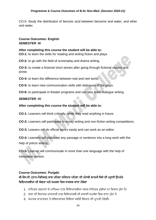CO.5- Study the distribution of benzoic acid between benzene and water, and ether and water.

#### **Course Outcomes: English SEMESTER -III**

#### **After completing this course the student will be able to:**

**CO-1:** to learn the skills for reading and writing fiction and plays.

**CO-2:** to go with the field of screenplay and drama writing.

**CO-3:** to create a fictional short stories after going through fictional studies and prose.

**CO-4:** to learn the difference between real and reel world.

**CO-5:** to learn new communication skills with dialogues of the plays.

**CO-6:** to participate in theater programs and can also learn dialogue writing.

#### **SEMESTER -IV**

#### **After completing this course the student will be able to:**

**CO-1:** Learners will think critically, while they read anything in future.

**CO-2:** Learners will participate in essay writing and non-fiction writing competitions.

**CO-3:** Leaners will do official works easily and can work as an editor.

**CO-4:** Learners will elaborate any passage or sentence into a long work with the help of précis writing.

**CO-5:** Learner will communicate in more than one language with the help of translation portion.

#### **Course Outcomes: Punjabi**

#### ਬੀ**.**ਐਸ**.**ਸੀ**. (**ਨਾਨ**-**ਮੈਡੀਕਲ**)** ਭਾਗ ਪਹਿਲਾ ਸਮੈਸਟਰ ਪਹਿਲਾ ਦੀ ਪੰਜਾਬੀ ਲਾਜ਼ਮੀ ਹਿਸ਼ੇਦੀ ਪੜ੍ਹਾਈ ਉਪਰੰਤ ਵਿਦਿਆਰਥੀਆਂ ਦੀ ਯੋਗਤਾ ਅਤੇ ਸਮਰਥਾ ਵਿਚ ਸਾਰਥਕ ਵਾਧਾ ਹੋਵੇਗਾ

- 1. ਸਾਹਿਤਕ ਰਚਨਾਵਾਂ ਦੇ ਮਾਧਿਅਮ ਨਾਲ ਵਿਦਿਆਰਥੀਆਂ ਅੰਦਰ ਸਾਹਿਤਕ ਰਚੀਆਂ ਦਾ ਵਿਕਾਸ ਹੰਦਾ ਹੈ।
- 2. ਭਾਸ਼ਾ ਦੀ ਸਿਧਾਂਤਕ ਜਾਣਕਾਰੀ ਨਾਲ ਵਿਦਿਆਰਥੀ ਦੀ ਭਾਸ਼ਾਈ ਸਮਰੱਥਾ ਵਿਚ ਵਾਧਾ ਹੁੰਦਾ ਹੈ
- 3. ਸਮਾਜਕ ਵਾਤਾਵਰਣ ਤੇ ਸਭਿਆਚਾਰਕ ਵਿਸ਼ਿਆਂ ਸਬੰਧੀ ਗਿਆਨ ਦੀ ਪਾਪਤੀ ਹੋਵੇਗੀ।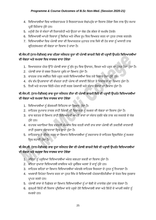- 4. ਵਿਦਿਆਰਥੀਆਂ ਵਿਚ ਆਲੋਚਨਾਤਮਕ ਤੇ ਸਿਰਜਣਾਤਮਕ ਸੋਚ/ਪਹੰਚ ਦਾ ਵਿਕਾਸ ਹੋਵੇਗਾ ਜਿਸ ਨਾਲ ਉਹ ਸਮਾਜ ਪ੍ਰਤੀ ਜਿੰਮੇਵਾਰ ਹੁੰਦੇ ਹਨ।
- 5. ਮਨੱਖੀ ਹੋਂਦ ਦੇ ਸੰਕਟਾਂ ਦੀ ਨਿਸ਼ਾਨਦੇਹੀ ਅਤੇ ਉਹਨਾਂ ਦਾ ਯੋਗ ਹੱਲ ਲੱਭਣ ਦੇ ਸਮਰੱਥ ਹੋਣਗੇ।
- 6. ਵਿਦਿਆਰਥੀ ਆਪਣੇ ਵਿਚਾਰਾਂ ਨੂੰ ਲਿਖਿਤ ਅਤੇ ਮੌਖਿਕ ਰੂਪ ਵਿਚ ਵਿਅਕਤ ਕਰਨ ਦਾ ਹੁਨਰ ਹਾਸਲ ਕਰਨਗੇ।
- 7. ਵਿਦਿਆਰਥੀਆਂ ਵਿਚ ਪੰਜਾਬੀ ਭਾਸ਼ਾ ਦੀ ਵਿਆਕਰਨਕ ਮੁਹਾਰਤ ਨਾਲ ਕਿਸੇ ਵੀ ਹੋਰ ਭਾਸ਼ਾ ਨੂੰ ਆਸਾਨੀ ਨਾਲ ਗਹਿਣ/ਸਮਝਣ ਦੀ ਯੋਗਤਾ ਦਾ ਵਿਕਾਸ ਹੋ ਜਾਂਦਾ ਹੈ।

#### ਬੀ.ਐਸ.ਸੀ (ਨਾਨ-ਮੈਡੀਕਲ) ਭਾਗ ਪਹਿਲਾ ਸਮੈਸਟਰ ਦੂਜਾ ਦੀ ਪੰਜਾਬੀ ਲਾਜ਼ਮੀ ਵਿਸ਼ੇ ਦੀ ਪੜ੍ਹਾਈ ਉਪਰੰਤ ਵਿਦਿਆਰਥੀਆਂ ਦੀ ਯੋਗਤਾ ਅਤੇ ਸਮਰਥਾ ਵਿਚ ਸਾਰਥਕ ਵਾਧਾ ਹੋਵੇਗਾ

- 1. ਵਿਆਕਰਨਕ ਪੱਧਰ ਉੱਤੇ ਪੰਜਾਬੀ ਭਾਸ਼ਾ ਨੂੰ ਸ਼ੁੱਧ ਰੂਪ ਵਿਚ ਉਚਾਰਨ, ਲਿਖਣ ਅਤੇ ਪੜ੍ਹਨ ਦਾ ਹੁਨਰ ਪੈਦਾ ਹੁੰਦਾ ਹੈ।
- 2. ਪੰਜਾਬੀ ਭਾਸ਼ਾ ਦੇ ਸ਼ਬਦ ਨਿਰਮਾਣ ਪਬੰਧ ਦਾ ਗਿਆਨ ਹੰਦਾ ਹੈ।
- 3. ਵਾਰਤਕ ਨਾਲ ਸਬੰਧਿਤ ਵਿਸ਼ੇ ਪੜ੍ਹਨ ਕਰਕੇ ਵਿਦਿਆਰਥੀਆਂ ਵਿਚ ਨਵੇਂ ਵਿਚਾਰ ਪੈਦਾ ਹੁੰਦੇ ਹਨ।
- 4. ਵੱਖ ਵੱਖ ਉਪਭਾਸ਼ਾਵਾਂ ਦੀ ਵੱਖਰਤਾ ਰਾਹੀਂ ਪੰਜਾਬ ਦੀ ਭਾਸ਼ਾਈ ਭਿੰਨਤਾ ਤੇ ਵਿਸ਼ਾਲਤਾ ਦਾ ਗਿਆਨ ਹੰਦਾ ਹੈ।
- 5. ਨਿਜੀ ਅਤੇ ਵਪਾਰਕ ਚਿੱਠੀ-ਪੱਤਰ ਰਾਹੀਂ ਸਰਲ ਪੇਸ਼ਕਾਰੀ ਅਤੇ ਸੰਚਾਰ ਯੋਗਤਾ ਦਾ ਵਿਕਾਸ ਹੁੰਦਾ ਹੈ।

#### ਬੀ**.**ਐਸ**.**ਸੀ**. (**ਨਾਨ**-**ਮੈਡੀਕਲ**)** ਭਾਗ ਦ ਜਾ ਸਮੈਸਟਰ ਤੀਜਾ ਦੀ ਪੰਜਾਬੀ ਲਾਜ਼ਮੀ ਹਿਸ਼ੇਦੀ ਪੜ੍ਹਾਈ ਉਪਰੰਤ ਹਿਹਦਆਰਥੀਆਂ ਦੀ ਯੋਗਤਾ ਅਤੇ ਸਮਰਥਾ ਵਿਚ ਸਾਰਥਕ ਵਾਧਾ ਹੋਵੇਗਾ

- 1. ਵਿਦਿਆਰਥੀਆਂ ਨੂੰ ਗੌਰਵਮਈ ਇਤਿਹਾਸ ਦਾ ਗਿਆਨ ਹੁੰਦਾ ਹੈ।
- 2. ਸਾਹਿਤਕ ਰੁਪਾਕਾਰ ਨਾਵਲ ਰਾਹੀਂ ਜ਼ਿੰਦਗੀ ਦੀ ਵਿਸ਼ਾਲਤਾ ਨੂੰ ਸਮਝਣ ਦੀ ਯੋਗਤਾ ਦਾ ਵਿਕਾਸ ਹੁੰਦਾ ਹੈ।
- 3. ਵਾਕ ਬਣਤਰ ਦੇ ਗਿਆਨ ਰਾਹੀਂ ਵਿਦਿਆਰਥੀ ਆਪਣੇ ਭਾਵਾਂ ਦਾ ਸੰਚਾਰ ਸਚੱਜੇ ਢੰਗ ਨਾਲ ਕਰ ਸਕਣਗੇ ਦੇ ਯੋਗ ਹੰਦੇ ਹਨ।
- 4. ਵਪਾਰਕ ਅਦਾਰਿਆਂ ਵਿਚ ਦਫ਼ਤਰੀ ਕੰਮਕਾਜ ਵਿਚ ਵਰਤੀ ਜਾਂਦੀ ਰਾਜ ਭਾਸ਼ਾ ਪੰਜਾਬੀ ਦੀ ਤਕਨੀਕੀ ਜਾਣਕਾਰੀ ਰਾਹੀਂ ਰਜ਼ਗਾਰ ਸੰਭਾਵਨਾਵਾਂ ਵਿਚ ਵਾਧਾ ਹੰਦਾ ਹੈ।
- 5. ਸਾਹਿਤਕਾਰ ਦੇ ਜੀਵਨ ਸਫ਼ਰ ਦਾ ਗਿਆਨ ਵਿਦਿਆਰਥੀਆਂ ਨੂੰ ਰਚਨਾਕਾਰ ਦੇ ਸਾਹਿਤਕ ਦ੍ਰਿਸ਼ਟੀਕੋਣ ਨੂੰ ਸਮਝਣ ਵਿਚ ਸਹਾਈ ਹੁੰਦਾ ਹੈ।

#### ਬੀ**.**ਐਸ**.**ਸੀ**. (**ਨਾਨ**-**ਮੈਡੀਕਲ**)** ਭਾਗ ਦ ਜਾ ਸਮੈਸਟਰ ਚੌਥਾ ਦੀ ਪੰਜਾਬੀ ਲਾਜ਼ਮੀ ਹਿਸ਼ੇਦੀ ਪੜ੍ਹਾਈ ਉਪਰੰਤ ਹਿਹਦਆਰਥੀਆਂ ਦੀ ਯੋਗਤਾ ਅਤੇ ਸਮਰਥਾ ਵਿਚ ਸਾਰਥਕ ਵਾਧਾ ਹੋਵੇਗਾ

- 1. ਕਵਿਤਾ ਨੂੰ ਪੜ੍ਹਦਿਆਂ ਵਿਦਿਆਰਥੀਆਂ ਅੰਦਰ ਕਲਪਨਾ ਸ਼ਕਤੀ ਦਾ ਵਿਕਾਸ ਹੁੰਦਾ ਹੈ।
- 2. ਕਵਿਤਾ ਦੁਆਰਾ ਵਿਦਿਆਰਥੀ ਸ਼ਾਬਦਿਕ ਅਤੇ ਪ੍ਰਸੰਗਿਕ ਅਰਥਾਂ ਤੋਂ ਜਾਣੂੰ ਹੁੰਦੇ ਹਨ।
- 3. ਸਾਹਿਤਕ ਲਹਿਰਾਂ ਦਾ ਗਿਆਨ ਵਿਦਿਆਰਥੀਆਂ ਅੰਦਰਲੇ ਸਾਹਿਤਕ ਸਿਰਜਣਾ ਦੇ ਹੁਨਰ ਨੂੰ ਨਿਖਾਰਦਾ ਹੈ।
- 4. ਅਖਬਾਰੀ ਰਿਪੋਰਟ ਤਿਆਰ ਕਰਨ ਦਾ ਹਨਰ ਸਿੱਖ ਕੇ ਵਿਦਿਆਰਥੀ ਪੱਤਰਕਾਰੀ/ਮੀਡੀਆ ਦੇ ਖੇਤਰ ਵਿਚ ਰਜਗਾਰ ਪਾਪਤ ਕਰਦੇ ਹਨ।
- 5. ਪੰਜਾਬੀ ਭਾਸ਼ਾ ਦੇ ਪਿਛੋਕੜ ਦਾ ਗਿਆਨ ਵਿਦਿਆਰਥੀਆਂ ਨੂੰ ਮਾਂ ਬੋਲੀ ਦੇ ਮਾਣਯੋਗ ਮੁੱਲਾਂ ਨਾਲ ਜੋੜਦਾ ਹੈ।
- 6. ਗੁਰਮੁਖੀ ਲਿੱਪੀ ਦੀ ਵਿਕਾਸ ਪ੍ਰਕਿਰਿਆ ਬਾਰੇ ਪੜ੍ਹਦੇ ਹੋਏ ਵਿਦਿਆਰਥੀ ਭਾਸ਼ਾ ਅਤੇ ਲਿੱਪੀ ਦੇ ਆਪਸੀ ਸਬੰਧਾਂ ਨੂੰ ਸਮਝਦੇ ਹਨ।